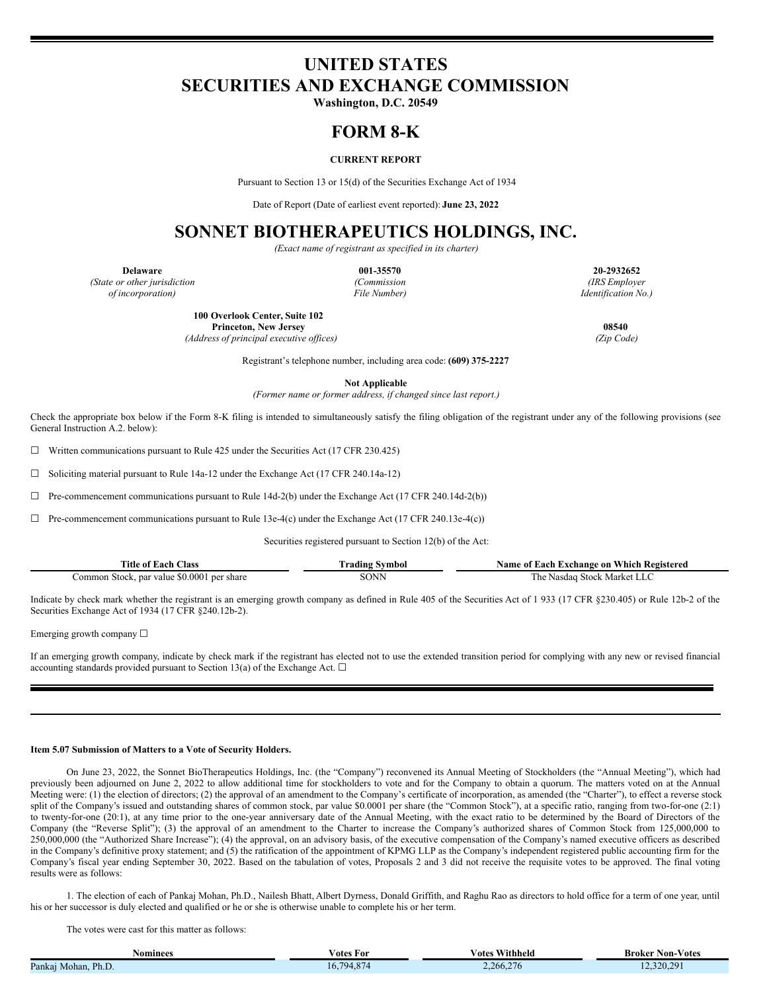# **UNITED STATES SECURITIES AND EXCHANGE COMMISSION**

**Washington, D.C. 20549**

## **FORM 8-K**

### **CURRENT REPORT**

Pursuant to Section 13 or 15(d) of the Securities Exchange Act of 1934

Date of Report (Date of earliest event reported): **June 23, 2022**

## **SONNET BIOTHERAPEUTICS HOLDINGS, INC.**

*(Exact name of registrant as specified in its charter)*

*(State or other jurisdiction (Commission (IRS Employer of incorporation) File Number) Identification No.)*

**Delaware 001-35570 20-2932652**

**100 Overlook Center, Suite 102 Princeton, New Jersey 08540**

*(Address of principal executive of ices) (Zip Code)*

Registrant's telephone number, including area code: **(609) 375-2227**

**Not Applicable**

*(Former name or former address, if changed since last report.)*

Check the appropriate box below if the Form 8-K filing is intended to simultaneously satisfy the filing obligation of the registrant under any of the following provisions (see General Instruction A.2. below):

 $\Box$  Written communications pursuant to Rule 425 under the Securities Act (17 CFR 230.425)

☐ Soliciting material pursuant to Rule 14a-12 under the Exchange Act (17 CFR 240.14a-12)

 $\Box$  Pre-commencement communications pursuant to Rule 14d-2(b) under the Exchange Act (17 CFR 240.14d-2(b))

 $\Box$  Pre-commencement communications pursuant to Rule 13e-4(c) under the Exchange Act (17 CFR 240.13e-4(c))

Securities registered pursuant to Section 12(b) of the Act:

| Title of Each C<br>Class                   | Urading Symbol | Name of Each Exchange on Which Registered |
|--------------------------------------------|----------------|-------------------------------------------|
| Common Stock, par value \$0.0001 per share | SONN           | l`he<br>: Nasdag Stock Market L           |

Indicate by check mark whether the registrant is an emerging growth company as defined in Rule 405 of the Securities Act of 1 933 (17 CFR §230.405) or Rule 12b-2 of the Securities Exchange Act of 1934 (17 CFR §240.12b-2).

Emerging growth company ☐

If an emerging growth company, indicate by check mark if the registrant has elected not to use the extended transition period for complying with any new or revised financial accounting standards provided pursuant to Section 13(a) of the Exchange Act.  $\Box$ 

#### **Item 5.07 Submission of Matters to a Vote of Security Holders.**

On June 23, 2022, the Sonnet BioTherapeutics Holdings, Inc. (the "Company") reconvened its Annual Meeting of Stockholders (the "Annual Meeting"), which had previously been adjourned on June 2, 2022 to allow additional time for stockholders to vote and for the Company to obtain a quorum. The matters voted on at the Annual Meeting were: (1) the election of directors; (2) the approval of an amendment to the Company's certificate of incorporation, as amended (the "Charter"), to effect a reverse stock split of the Company's issued and outstanding shares of common stock, par value \$0.0001 per share (the "Common Stock"), at a specific ratio, ranging from two-for-one (2:1) to twenty-for-one (20:1), at any time prior to the one-year anniversary date of the Annual Meeting, with the exact ratio to be determined by the Board of Directors of the Company (the "Reverse Split"); (3) the approval of an amendment to the Charter to increase the Company's authorized shares of Common Stock from 125,000,000 to 250,000,000 (the "Authorized Share Increase"); (4) the approval, on an advisory basis, of the executive compensation of the Company's named executive officers as described in the Company's definitive proxy statement; and (5) the ratification of the appointment of KPMG LLP as the Company's independent registered public accounting firm for the Company's fiscal year ending September 30, 2022. Based on the tabulation of votes, Proposals 2 and 3 did not receive the requisite votes to be approved. The final voting results were as follows:

1. The election of each of Pankaj Mohan, Ph.D., Nailesh Bhatt, Albert Dyrness, Donald Griffith, and Raghu Rao as directors to hold office for a term of one year, until his or her successor is duly elected and qualified or he or she is otherwise unable to complete his or her term.

The votes were cast for this matter as follows:

| Nominees                  | √otes For                                         | Withheld<br>⁄ otes  | Votes<br>Broker<br>Non- |
|---------------------------|---------------------------------------------------|---------------------|-------------------------|
| Ph.L.<br>Pankai<br>Mohan. | $\sim$<br>794<br>$\mathbf{U}_{\bullet}$<br>- 1.0. | $\sim$<br>2.266.276 | 12.320.29'              |